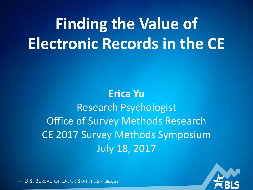# **Finding the Value of Electronic Records in the CE**

**Erica Yu** Research Psychologist Office of Survey Methods Research CE 2017 Survey Methods Symposium July 18, 2017

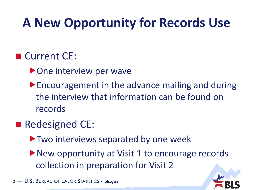#### **A New Opportunity for Records Use**

#### ■ Current CE:

- ▶ One interview per wave
- ▶ Encouragement in the advance mailing and during the interview that information can be found on records

#### Redesigned CE:

- **Two interviews separated by one week**
- ▶ New opportunity at Visit 1 to encourage records collection in preparation for Visit 2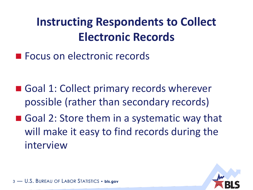#### **Instructing Respondents to Collect Electronic Records**

**Focus on electronic records** 

- Goal 1: Collect primary records wherever possible (rather than secondary records)
- Goal 2: Store them in a systematic way that will make it easy to find records during the interview

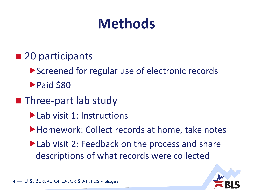### **Methods**

- 20 participants
	- ▶ Screened for regular use of electronic records
	- Paid \$80
- **Three-part lab study** 
	- ▶ Lab visit 1: Instructions
	- ▶ Homework: Collect records at home, take notes
	- ▶ Lab visit 2: Feedback on the process and share descriptions of what records were collected

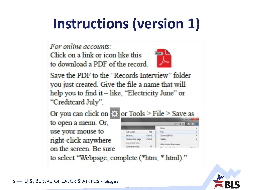# **Instructions (version 1)**

For online accounts:

Click on a link or icon like this to download a PDF of the record.



Save the PDF to the "Records Interview" folder you just created. Give the file a name that will help you to find it  $-$  like, "Electricity June" or "Creditcard July".

Or you can click on  $\cos$  or Tools > File > Save as to open a menu. Or, use your mouse to right-click anywhere on the screen. Be sure



to select "Webpage, complete (\*htm; \*.html)."

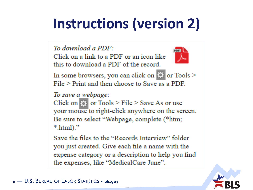# **Instructions (version 2)**

To download a PDF:

Click on a link to a PDF or an icon like this to download a PDF of the record.



In some browsers, you can click on **the or** Tools >  $File$  > Print and then choose to Save as a PDF.

To save a webpage:

Click on  $\circ$  or Tools > File > Save As or use your mouse to right-click anywhere on the screen. Be sure to select "Webpage, complete (\*htm;  $*$ .html $).$ "

Save the files to the "Records Interview" folder you just created. Give each file a name with the expense category or a description to help you find the expenses, like "MedicalCare June".

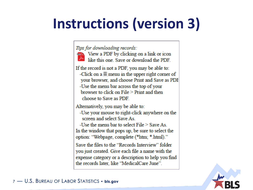# **Instructions (version 3)**

Tips for downloading records:



If the record is not a PDF, you may be able to: -Click on  $a \equiv$  menu in the upper right corner of your browser, and choose Print and Save as PDI -Use the menu bar across the top of your browser to click on  $File$   $\ge$  Print and then choose to Save as PDF

Alternatively, you may be able to:

-Use your mouse to right-click anywhere on the screen and select Save As

-Use the menu bar to select  $\text{File} \geq \text{Save As}$ 

In the window that pops up, be sure to select the option: "Webpage, complete (\*htm; \*.html)."

Save the files to the "Records Interview" folder you just created. Give each file a name with the expense category or a description to help you find the records later, like "MedicalCare June".

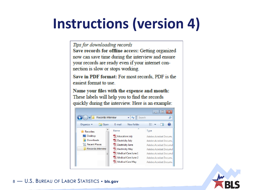### **Instructions (version 4)**

Tips for downloading records

Save records for offline access: Getting organized now can save time during the interview and ensure your records are ready even if your internet connection is slow or stops working.

Save in PDF format: For most records, PDF is the easiest format to use

Name your files with the expense and month: These labels will help you to find the records quickly during the interview. Here is an example:



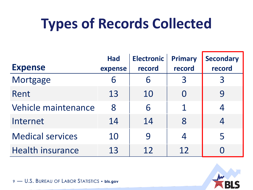### **Types of Records Collected**

| <b>Expense</b>          | <b>Had</b><br>expense | <b>Electronic</b><br>record | <b>Primary</b><br>record | <b>Secondary</b><br>record |
|-------------------------|-----------------------|-----------------------------|--------------------------|----------------------------|
| Mortgage                | 6                     | 6                           | 3                        | 3                          |
| Rent                    | 13                    | 10                          |                          | 9                          |
| Vehicle maintenance     | 8                     | 6                           | 1                        | 4                          |
| Internet                | 14                    | 14                          | 8                        | 4                          |
| <b>Medical services</b> | 10                    | 9                           | 4                        | 5                          |
| <b>Health insurance</b> | 13                    | 12                          | 12                       |                            |

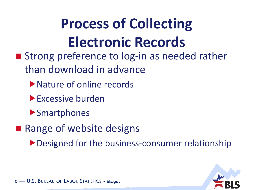# **Process of Collecting Electronic Records**

- **Strong preference to log-in as needed rather** than download in advance
	- ▶ Nature of online records
	- **Excessive burden**
	- **Smartphones**
- Range of website designs

Designed for the business-consumer relationship

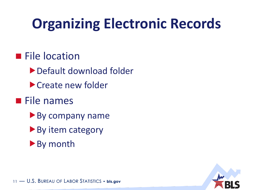# **Organizing Electronic Records**

#### **File location**

- Default download folder
- Create new folder
- **File names** 
	- By company name
	- ▶ By item category
	- ▶ By month

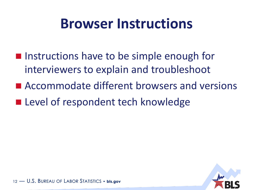### **Browser Instructions**

- **If** Instructions have to be simple enough for interviewers to explain and troubleshoot
- Accommodate different browsers and versions
- **Level of respondent tech knowledge**

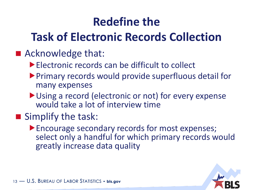#### **Redefine the**

#### **Task of Electronic Records Collection**

#### ■ Acknowledge that:

- **Electronic records can be difficult to collect**
- Primary records would provide superfluous detail for many expenses
- ▶ Using a record (electronic or not) for every expense would take a lot of interview time

#### Simplify the task:

Encourage secondary records for most expenses; select only a handful for which primary records would greatly increase data quality

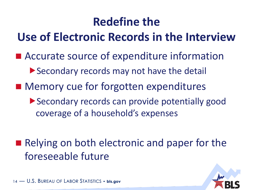#### **Redefine the**

#### **Use of Electronic Records in the Interview**

- Accurate source of expenditure information
	- Secondary records may not have the detail
- Memory cue for forgotten expenditures
	- Secondary records can provide potentially good coverage of a household's expenses

■ Relying on both electronic and paper for the foreseeable future

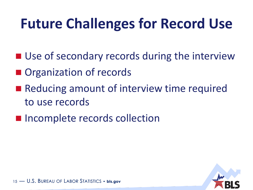### **Future Challenges for Record Use**

- Use of secondary records during the interview
- Organization of records
- Reducing amount of interview time required to use records
- **Incomplete records collection**